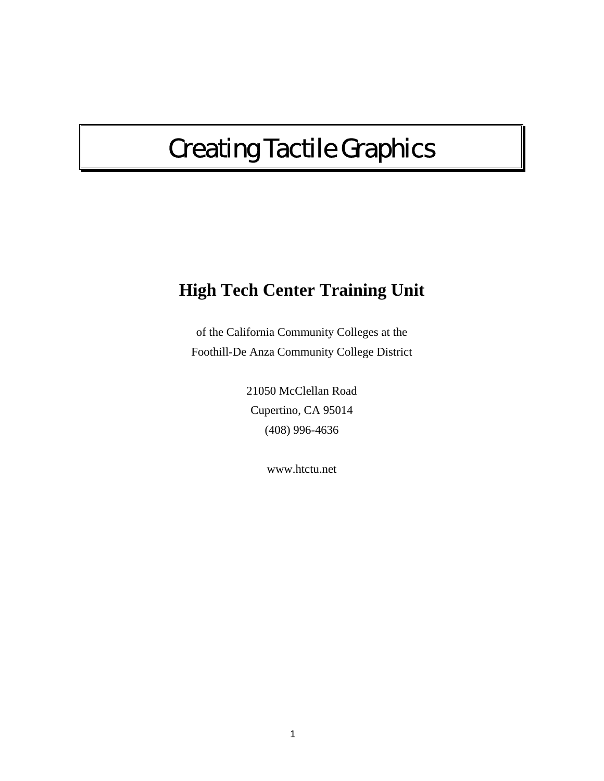# Creating Tactile Graphics

## **High Tech Center Training Unit**

of the California Community Colleges at the Foothill-De Anza Community College District

> 21050 McClellan Road Cupertino, CA 95014 (408) 996-4636

> > www.htctu.net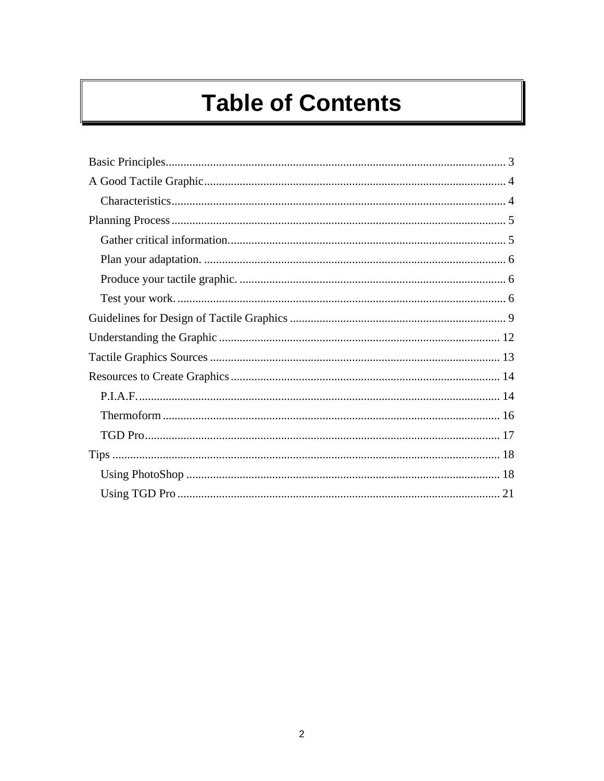# **Table of Contents**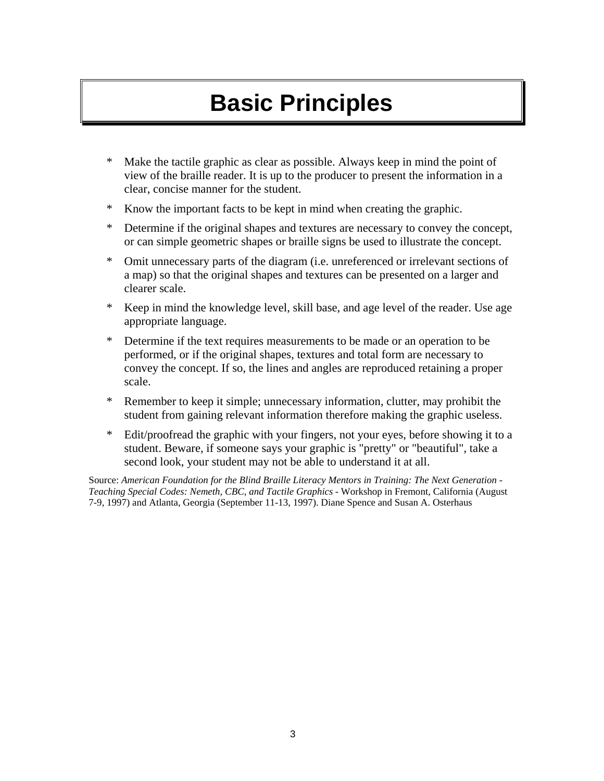# **Basic Principles**

- <span id="page-2-0"></span>\* Make the tactile graphic as clear as possible. Always keep in mind the point of view of the braille reader. It is up to the producer to present the information in a clear, concise manner for the student.
- \* Know the important facts to be kept in mind when creating the graphic.
- \* Determine if the original shapes and textures are necessary to convey the concept, or can simple geometric shapes or braille signs be used to illustrate the concept.
- \* Omit unnecessary parts of the diagram (i.e. unreferenced or irrelevant sections of a map) so that the original shapes and textures can be presented on a larger and clearer scale.
- \* Keep in mind the knowledge level, skill base, and age level of the reader. Use age appropriate language.
- \* Determine if the text requires measurements to be made or an operation to be performed, or if the original shapes, textures and total form are necessary to convey the concept. If so, the lines and angles are reproduced retaining a proper scale.
- \* Remember to keep it simple; unnecessary information, clutter, may prohibit the student from gaining relevant information therefore making the graphic useless.
- \* Edit/proofread the graphic with your fingers, not your eyes, before showing it to a student. Beware, if someone says your graphic is "pretty" or "beautiful", take a second look, your student may not be able to understand it at all.

Source: *American Foundation for the Blind Braille Literacy Mentors in Training: The Next Generation - Teaching Special Codes: Nemeth, CBC, and Tactile Graphics* - Workshop in Fremont, California (August 7-9, 1997) and Atlanta, Georgia (September 11-13, 1997). Diane Spence and Susan A. Osterhaus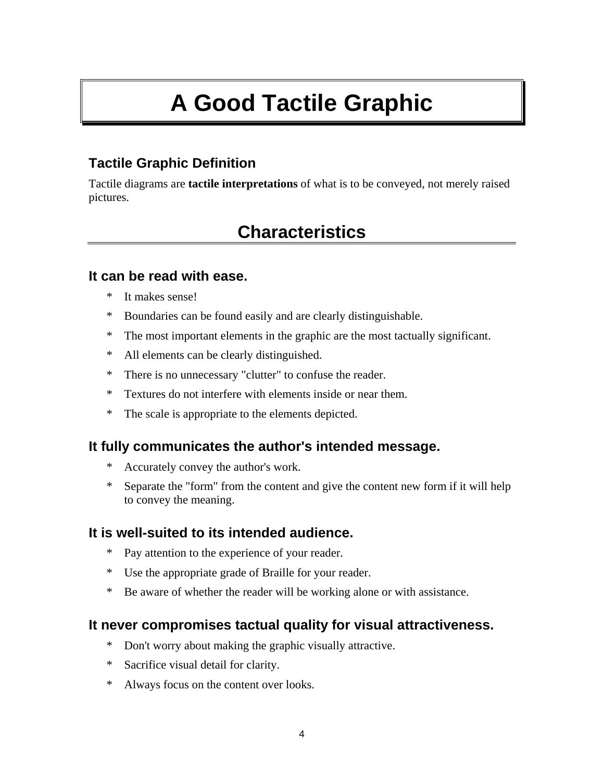# **A Good Tactile Graphic**

## <span id="page-3-0"></span>**Tactile Graphic Definition**

Tactile diagrams are **tactile interpretations** of what is to be conveyed, not merely raised pictures.

## **Characteristics**

#### **It can be read with ease.**

- It makes sense!
- \* Boundaries can be found easily and are clearly distinguishable.
- \* The most important elements in the graphic are the most tactually significant.
- \* All elements can be clearly distinguished.
- \* There is no unnecessary "clutter" to confuse the reader.
- \* Textures do not interfere with elements inside or near them.
- \* The scale is appropriate to the elements depicted.

### **It fully communicates the author's intended message.**

- \* Accurately convey the author's work.
- \* Separate the "form" from the content and give the content new form if it will help to convey the meaning.

### **It is well-suited to its intended audience.**

- \* Pay attention to the experience of your reader.
- \* Use the appropriate grade of Braille for your reader.
- \* Be aware of whether the reader will be working alone or with assistance.

### **It never compromises tactual quality for visual attractiveness.**

- \* Don't worry about making the graphic visually attractive.
- \* Sacrifice visual detail for clarity.
- \* Always focus on the content over looks.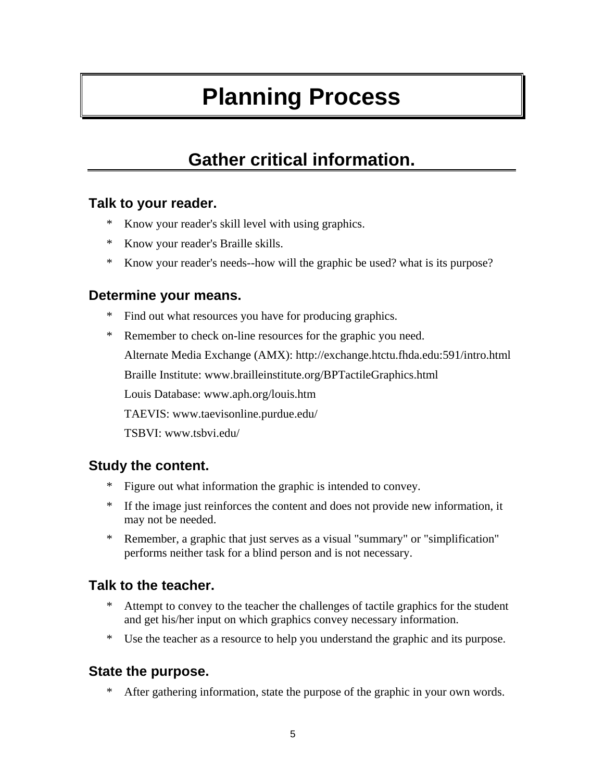# **Planning Process**

## **Gather critical information.**

#### <span id="page-4-0"></span>**Talk to your reader.**

- \* Know your reader's skill level with using graphics.
- \* Know your reader's Braille skills.
- \* Know your reader's needs--how will the graphic be used? what is its purpose?

#### **Determine your means.**

- \* Find out what resources you have for producing graphics.
- \* Remember to check on-line resources for the graphic you need.

Alternate Media Exchange (AMX): http://exchange.htctu.fhda.edu:591/intro.html

Braille Institute: www.brailleinstitute.org/BPTactileGraphics.html

Louis Database: www.aph.org/louis.htm

TAEVIS: www.taevisonline.purdue.edu/

TSBVI: www.tsbvi.edu/

### **Study the content.**

- \* Figure out what information the graphic is intended to convey.
- \* If the image just reinforces the content and does not provide new information, it may not be needed.
- \* Remember, a graphic that just serves as a visual "summary" or "simplification" performs neither task for a blind person and is not necessary.

### **Talk to the teacher.**

- Attempt to convey to the teacher the challenges of tactile graphics for the student and get his/her input on which graphics convey necessary information.
- \* Use the teacher as a resource to help you understand the graphic and its purpose.

### **State the purpose.**

\* After gathering information, state the purpose of the graphic in your own words.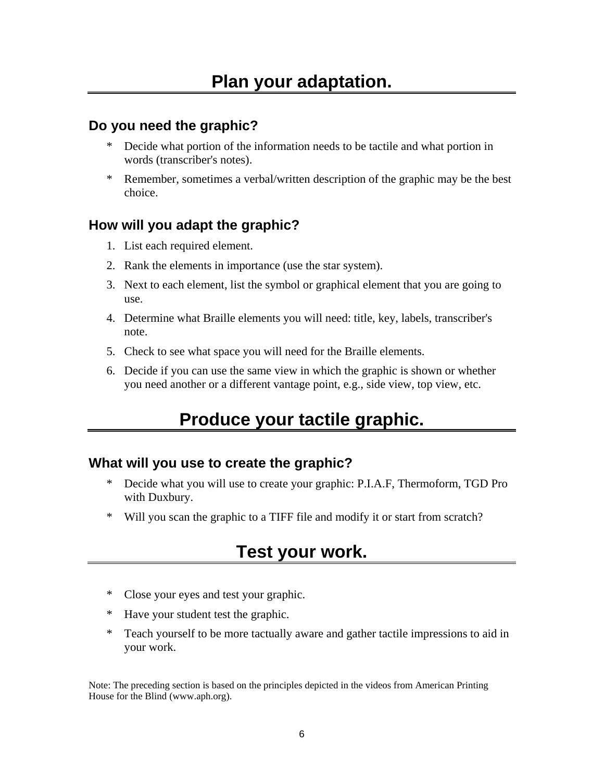#### <span id="page-5-0"></span>**Do you need the graphic?**

- \* Decide what portion of the information needs to be tactile and what portion in words (transcriber's notes).
- \* Remember, sometimes a verbal/written description of the graphic may be the best choice.

#### **How will you adapt the graphic?**

- 1. List each required element.
- 2. Rank the elements in importance (use the star system).
- 3. Next to each element, list the symbol or graphical element that you are going to use.
- 4. Determine what Braille elements you will need: title, key, labels, transcriber's note.
- 5. Check to see what space you will need for the Braille elements.
- 6. Decide if you can use the same view in which the graphic is shown or whether you need another or a different vantage point, e.g., side view, top view, etc.

## **Produce your tactile graphic.**

#### **What will you use to create the graphic?**

- \* Decide what you will use to create your graphic: P.I.A.F, Thermoform, TGD Pro with Duxbury.
- \* Will you scan the graphic to a TIFF file and modify it or start from scratch?

## **Test your work.**

- \* Close your eyes and test your graphic.
- \* Have your student test the graphic.
- \* Teach yourself to be more tactually aware and gather tactile impressions to aid in your work.

Note: The preceding section is based on the principles depicted in the videos from American Printing House for the Blind (www.aph.org).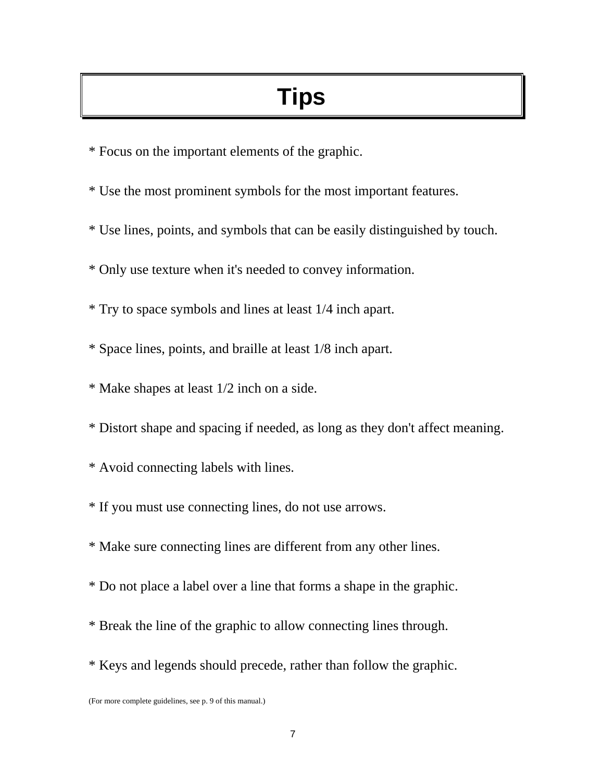# **Tips**

- \* Focus on the important elements of the graphic.
- \* Use the most prominent symbols for the most important features.
- \* Use lines, points, and symbols that can be easily distinguished by touch.
- \* Only use texture when it's needed to convey information.
- \* Try to space symbols and lines at least 1/4 inch apart.
- \* Space lines, points, and braille at least 1/8 inch apart.
- \* Make shapes at least 1/2 inch on a side.
- \* Distort shape and spacing if needed, as long as they don't affect meaning.
- \* Avoid connecting labels with lines.
- \* If you must use connecting lines, do not use arrows.
- \* Make sure connecting lines are different from any other lines.
- \* Do not place a label over a line that forms a shape in the graphic.
- \* Break the line of the graphic to allow connecting lines through.
- \* Keys and legends should precede, rather than follow the graphic.

<sup>(</sup>For more complete guidelines, see p. 9 of this manual.)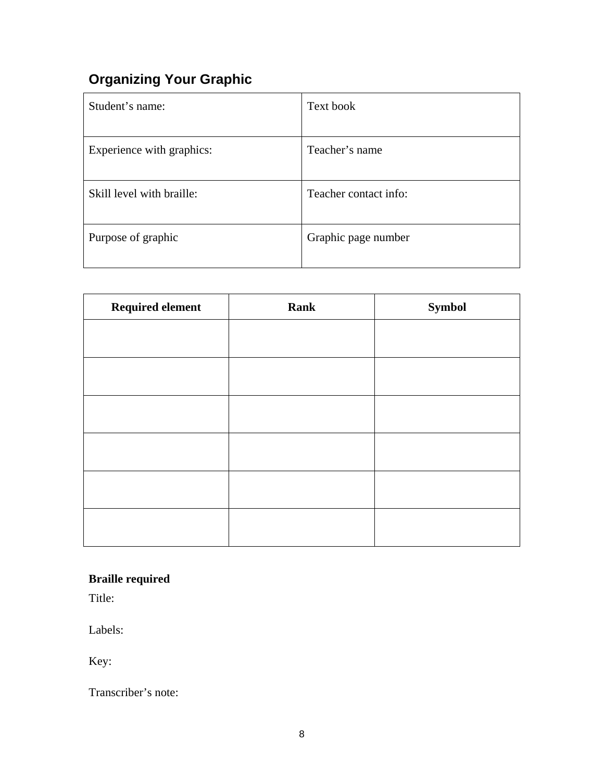## **Organizing Your Graphic**

| Student's name:           | Text book             |
|---------------------------|-----------------------|
| Experience with graphics: | Teacher's name        |
| Skill level with braille: | Teacher contact info: |
| Purpose of graphic        | Graphic page number   |

| <b>Required element</b> | <b>Rank</b> | <b>Symbol</b> |
|-------------------------|-------------|---------------|
|                         |             |               |
|                         |             |               |
|                         |             |               |
|                         |             |               |
|                         |             |               |
|                         |             |               |
|                         |             |               |

## **Braille required**

Title:

Labels:

Key:

Transcriber's note: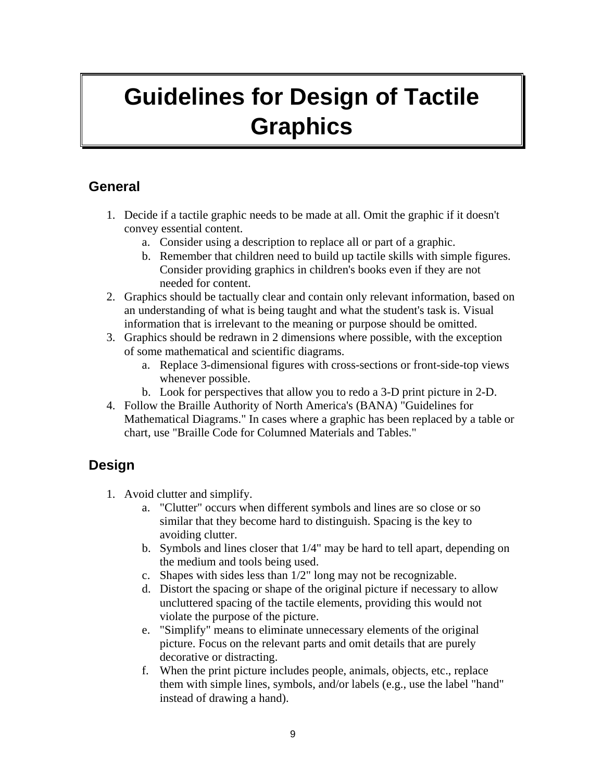# <span id="page-8-0"></span>**Guidelines for Design of Tactile Graphics**

### **General**

- 1. Decide if a tactile graphic needs to be made at all. Omit the graphic if it doesn't convey essential content.
	- a. Consider using a description to replace all or part of a graphic.
	- b. Remember that children need to build up tactile skills with simple figures. Consider providing graphics in children's books even if they are not needed for content.
- 2. Graphics should be tactually clear and contain only relevant information, based on an understanding of what is being taught and what the student's task is. Visual information that is irrelevant to the meaning or purpose should be omitted.
- 3. Graphics should be redrawn in 2 dimensions where possible, with the exception of some mathematical and scientific diagrams.
	- a. Replace 3-dimensional figures with cross-sections or front-side-top views whenever possible.
	- b. Look for perspectives that allow you to redo a 3-D print picture in 2-D.
- 4. Follow the Braille Authority of North America's (BANA) "Guidelines for Mathematical Diagrams." In cases where a graphic has been replaced by a table or chart, use "Braille Code for Columned Materials and Tables."

## **Design**

- 1. Avoid clutter and simplify.
	- a. "Clutter" occurs when different symbols and lines are so close or so similar that they become hard to distinguish. Spacing is the key to avoiding clutter.
	- b. Symbols and lines closer that 1/4" may be hard to tell apart, depending on the medium and tools being used.
	- c. Shapes with sides less than 1/2" long may not be recognizable.
	- d. Distort the spacing or shape of the original picture if necessary to allow uncluttered spacing of the tactile elements, providing this would not violate the purpose of the picture.
	- e. "Simplify" means to eliminate unnecessary elements of the original picture. Focus on the relevant parts and omit details that are purely decorative or distracting.
	- f. When the print picture includes people, animals, objects, etc., replace them with simple lines, symbols, and/or labels (e.g., use the label "hand" instead of drawing a hand).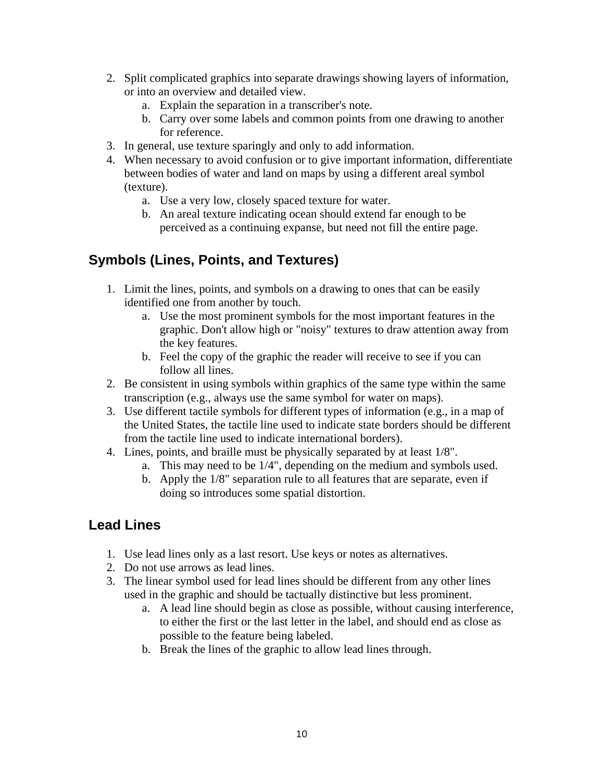- 2. Split complicated graphics into separate drawings showing layers of information, or into an overview and detailed view.
	- a. Explain the separation in a transcriber's note.
	- b. Carry over some labels and common points from one drawing to another for reference.
- 3. In general, use texture sparingly and only to add information.
- 4. When necessary to avoid confusion or to give important information, differentiate between bodies of water and land on maps by using a different areal symbol (texture).
	- a. Use a very low, closely spaced texture for water.
	- b. An areal texture indicating ocean should extend far enough to be perceived as a continuing expanse, but need not fill the entire page.

## **Symbols (Lines, Points, and Textures)**

- 1. Limit the lines, points, and symbols on a drawing to ones that can be easily identified one from another by touch.
	- a. Use the most prominent symbols for the most important features in the graphic. Don't allow high or "noisy" textures to draw attention away from the key features.
	- b. Feel the copy of the graphic the reader will receive to see if you can follow all lines.
- 2. Be consistent in using symbols within graphics of the same type within the same transcription (e.g., always use the same symbol for water on maps).
- 3. Use different tactile symbols for different types of information (e.g., in a map of the United States, the tactile line used to indicate state borders should be different from the tactile line used to indicate international borders).
- 4. Lines, points, and braille must be physically separated by at least 1/8".
	- a. This may need to be 1/4", depending on the medium and symbols used.
	- b. Apply the 1/8" separation rule to all features that are separate, even if doing so introduces some spatial distortion.

## **Lead Lines**

- 1. Use lead lines only as a last resort. Use keys or notes as alternatives.
- 2. Do not use arrows as lead lines.
- 3. The linear symbol used for lead lines should be different from any other lines used in the graphic and should be tactually distinctive but less prominent.
	- a. A lead line should begin as close as possible, without causing interference, to either the first or the last letter in the label, and should end as close as possible to the feature being labeled.
	- b. Break the lines of the graphic to allow lead lines through.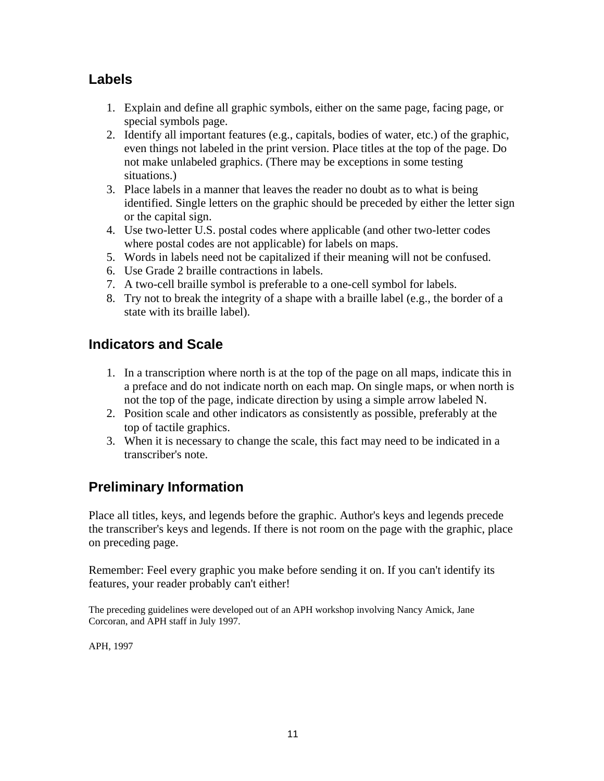### **Labels**

- 1. Explain and define all graphic symbols, either on the same page, facing page, or special symbols page.
- 2. Identify all important features (e.g., capitals, bodies of water, etc.) of the graphic, even things not labeled in the print version. Place titles at the top of the page. Do not make unlabeled graphics. (There may be exceptions in some testing situations.)
- 3. Place labels in a manner that leaves the reader no doubt as to what is being identified. Single letters on the graphic should be preceded by either the letter sign or the capital sign.
- 4. Use two-letter U.S. postal codes where applicable (and other two-letter codes where postal codes are not applicable) for labels on maps.
- 5. Words in labels need not be capitalized if their meaning will not be confused.
- 6. Use Grade 2 braille contractions in labels.
- 7. A two-cell braille symbol is preferable to a one-cell symbol for labels.
- 8. Try not to break the integrity of a shape with a braille label (e.g., the border of a state with its braille label).

### **Indicators and Scale**

- 1. In a transcription where north is at the top of the page on all maps, indicate this in a preface and do not indicate north on each map. On single maps, or when north is not the top of the page, indicate direction by using a simple arrow labeled N.
- 2. Position scale and other indicators as consistently as possible, preferably at the top of tactile graphics.
- 3. When it is necessary to change the scale, this fact may need to be indicated in a transcriber's note.

## **Preliminary Information**

Place all titles, keys, and legends before the graphic. Author's keys and legends precede the transcriber's keys and legends. If there is not room on the page with the graphic, place on preceding page.

Remember: Feel every graphic you make before sending it on. If you can't identify its features, your reader probably can't either!

The preceding guidelines were developed out of an APH workshop involving Nancy Amick, Jane Corcoran, and APH staff in July 1997.

APH, 1997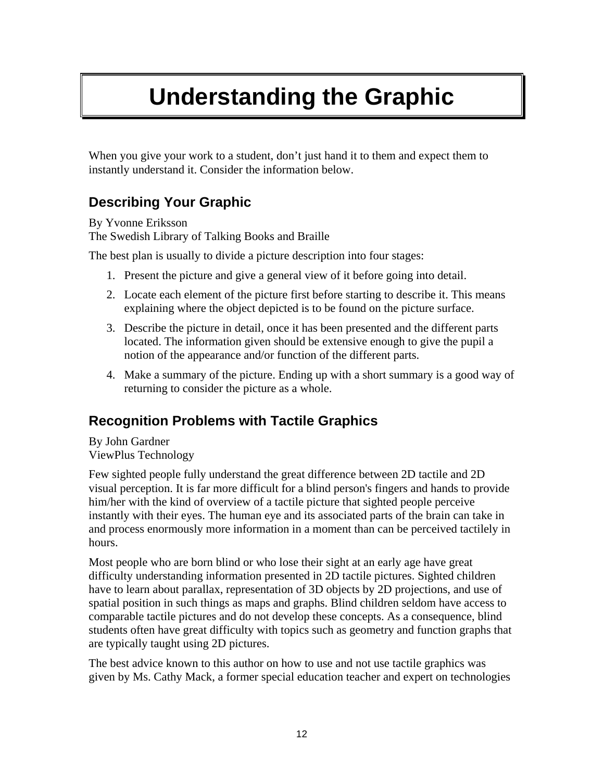# <span id="page-11-0"></span>**Understanding the Graphic**

When you give your work to a student, don't just hand it to them and expect them to instantly understand it. Consider the information below.

## **Describing Your Graphic**

By Yvonne Eriksson The Swedish Library of Talking Books and Braille

The best plan is usually to divide a picture description into four stages:

- 1. Present the picture and give a general view of it before going into detail.
- 2. Locate each element of the picture first before starting to describe it. This means explaining where the object depicted is to be found on the picture surface.
- 3. Describe the picture in detail, once it has been presented and the different parts located. The information given should be extensive enough to give the pupil a notion of the appearance and/or function of the different parts.
- 4. Make a summary of the picture. Ending up with a short summary is a good way of returning to consider the picture as a whole.

### **Recognition Problems with Tactile Graphics**

By John Gardner ViewPlus Technology

Few sighted people fully understand the great difference between 2D tactile and 2D visual perception. It is far more difficult for a blind person's fingers and hands to provide him/her with the kind of overview of a tactile picture that sighted people perceive instantly with their eyes. The human eye and its associated parts of the brain can take in and process enormously more information in a moment than can be perceived tactilely in hours.

Most people who are born blind or who lose their sight at an early age have great difficulty understanding information presented in 2D tactile pictures. Sighted children have to learn about parallax, representation of 3D objects by 2D projections, and use of spatial position in such things as maps and graphs. Blind children seldom have access to comparable tactile pictures and do not develop these concepts. As a consequence, blind students often have great difficulty with topics such as geometry and function graphs that are typically taught using 2D pictures.

The best advice known to this author on how to use and not use tactile graphics was given by Ms. Cathy Mack, a former special education teacher and expert on technologies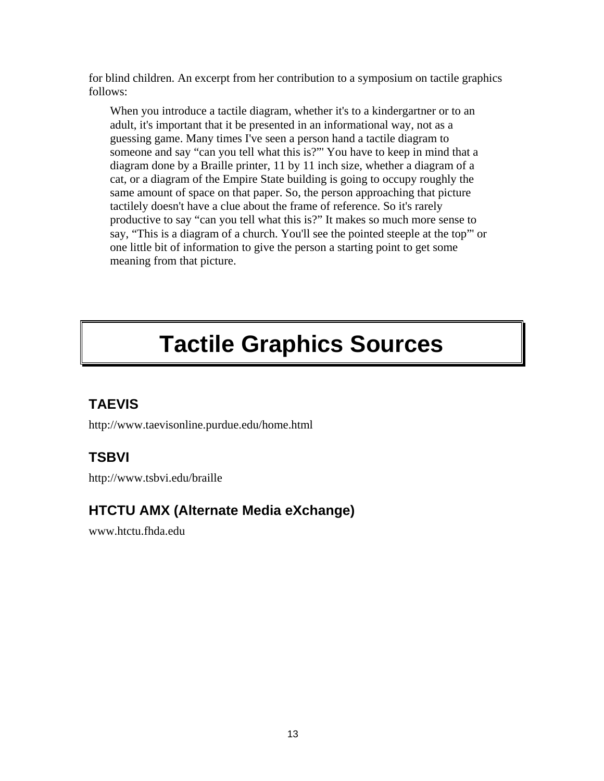<span id="page-12-0"></span>for blind children. An excerpt from her contribution to a symposium on tactile graphics follows:

When you introduce a tactile diagram, whether it's to a kindergartner or to an adult, it's important that it be presented in an informational way, not as a guessing game. Many times I've seen a person hand a tactile diagram to someone and say "can you tell what this is?"' You have to keep in mind that a diagram done by a Braille printer, 11 by 11 inch size, whether a diagram of a cat, or a diagram of the Empire State building is going to occupy roughly the same amount of space on that paper. So, the person approaching that picture tactilely doesn't have a clue about the frame of reference. So it's rarely productive to say "can you tell what this is?" It makes so much more sense to say, "This is a diagram of a church. You'll see the pointed steeple at the top"' or one little bit of information to give the person a starting point to get some meaning from that picture.

# **Tactile Graphics Sources**

## **TAEVIS**

http://www.taevisonline.purdue.edu/home.html

## **TSBVI**

http://www.tsbvi.edu/braille

## **HTCTU AMX (Alternate Media eXchange)**

www.htctu.fhda.edu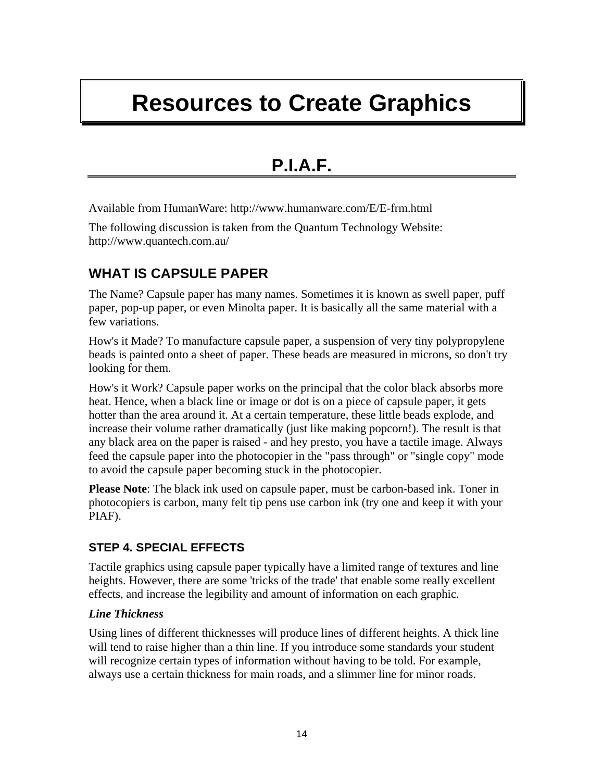# <span id="page-13-0"></span>**Resources to Create Graphics**

## **P.I.A.F.**

Available from HumanWare: http://www.humanware.com/E/E-frm.html

The following discussion is taken from the Quantum Technology Website: http://www.quantech.com.au/

## **WHAT IS CAPSULE PAPER**

The Name? Capsule paper has many names. Sometimes it is known as swell paper, puff paper, pop-up paper, or even Minolta paper. It is basically all the same material with a few variations.

How's it Made? To manufacture capsule paper, a suspension of very tiny polypropylene beads is painted onto a sheet of paper. These beads are measured in microns, so don't try looking for them.

How's it Work? Capsule paper works on the principal that the color black absorbs more heat. Hence, when a black line or image or dot is on a piece of capsule paper, it gets hotter than the area around it. At a certain temperature, these little beads explode, and increase their volume rather dramatically (just like making popcorn!). The result is that any black area on the paper is raised - and hey presto, you have a tactile image. Always feed the capsule paper into the photocopier in the "pass through" or "single copy" mode to avoid the capsule paper becoming stuck in the photocopier.

**Please Note**: The black ink used on capsule paper, must be carbon-based ink. Toner in photocopiers is carbon, many felt tip pens use carbon ink (try one and keep it with your PIAF).

#### **STEP 4. SPECIAL EFFECTS**

Tactile graphics using capsule paper typically have a limited range of textures and line heights. However, there are some 'tricks of the trade' that enable some really excellent effects, and increase the legibility and amount of information on each graphic.

#### *Line Thickness*

Using lines of different thicknesses will produce lines of different heights. A thick line will tend to raise higher than a thin line. If you introduce some standards your student will recognize certain types of information without having to be told. For example, always use a certain thickness for main roads, and a slimmer line for minor roads.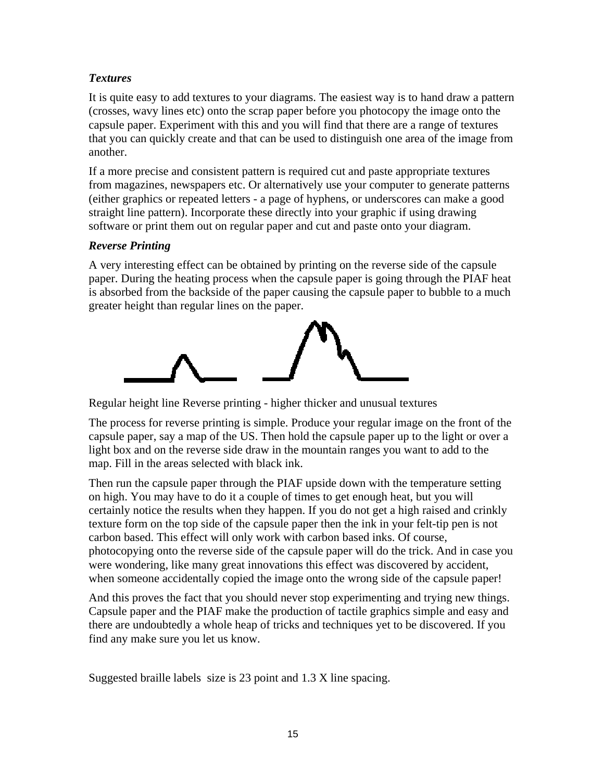#### *Textures*

It is quite easy to add textures to your diagrams. The easiest way is to hand draw a pattern (crosses, wavy lines etc) onto the scrap paper before you photocopy the image onto the capsule paper. Experiment with this and you will find that there are a range of textures that you can quickly create and that can be used to distinguish one area of the image from another.

If a more precise and consistent pattern is required cut and paste appropriate textures from magazines, newspapers etc. Or alternatively use your computer to generate patterns (either graphics or repeated letters - a page of hyphens, or underscores can make a good straight line pattern). Incorporate these directly into your graphic if using drawing software or print them out on regular paper and cut and paste onto your diagram.

#### *Reverse Printing*

A very interesting effect can be obtained by printing on the reverse side of the capsule paper. During the heating process when the capsule paper is going through the PIAF heat is absorbed from the backside of the paper causing the capsule paper to bubble to a much greater height than regular lines on the paper.



Regular height line Reverse printing - higher thicker and unusual textures

The process for reverse printing is simple. Produce your regular image on the front of the capsule paper, say a map of the US. Then hold the capsule paper up to the light or over a light box and on the reverse side draw in the mountain ranges you want to add to the map. Fill in the areas selected with black ink.

Then run the capsule paper through the PIAF upside down with the temperature setting on high. You may have to do it a couple of times to get enough heat, but you will certainly notice the results when they happen. If you do not get a high raised and crinkly texture form on the top side of the capsule paper then the ink in your felt-tip pen is not carbon based. This effect will only work with carbon based inks. Of course, photocopying onto the reverse side of the capsule paper will do the trick. And in case you were wondering, like many great innovations this effect was discovered by accident, when someone accidentally copied the image onto the wrong side of the capsule paper!

And this proves the fact that you should never stop experimenting and trying new things. Capsule paper and the PIAF make the production of tactile graphics simple and easy and there are undoubtedly a whole heap of tricks and techniques yet to be discovered. If you find any make sure you let us know.

Suggested braille labels size is 23 point and 1.3 X line spacing.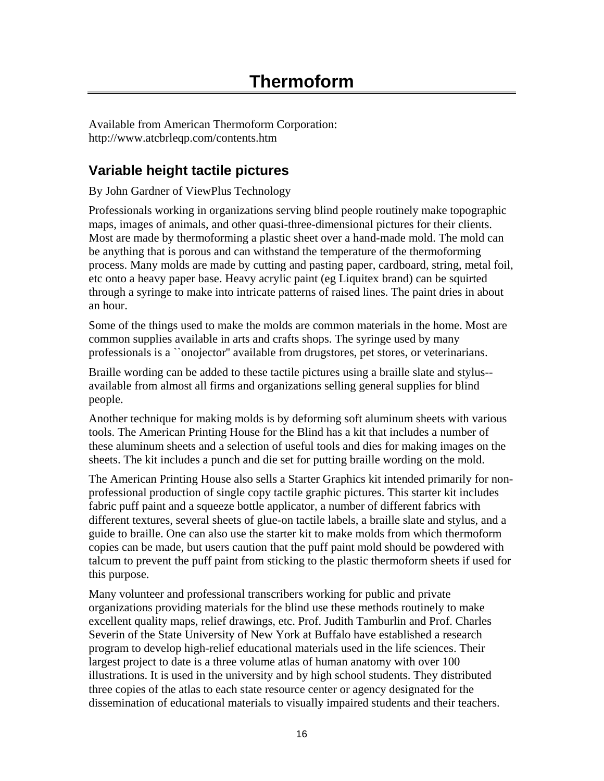<span id="page-15-0"></span>Available from American Thermoform Corporation: http://www.atcbrleqp.com/contents.htm

## **Variable height tactile pictures**

By John Gardner of ViewPlus Technology

Professionals working in organizations serving blind people routinely make topographic maps, images of animals, and other quasi-three-dimensional pictures for their clients. Most are made by thermoforming a plastic sheet over a hand-made mold. The mold can be anything that is porous and can withstand the temperature of the thermoforming process. Many molds are made by cutting and pasting paper, cardboard, string, metal foil, etc onto a heavy paper base. Heavy acrylic paint (eg Liquitex brand) can be squirted through a syringe to make into intricate patterns of raised lines. The paint dries in about an hour.

Some of the things used to make the molds are common materials in the home. Most are common supplies available in arts and crafts shops. The syringe used by many professionals is a ``onojector'' available from drugstores, pet stores, or veterinarians.

Braille wording can be added to these tactile pictures using a braille slate and stylus- available from almost all firms and organizations selling general supplies for blind people.

Another technique for making molds is by deforming soft aluminum sheets with various tools. The American Printing House for the Blind has a kit that includes a number of these aluminum sheets and a selection of useful tools and dies for making images on the sheets. The kit includes a punch and die set for putting braille wording on the mold.

The American Printing House also sells a Starter Graphics kit intended primarily for nonprofessional production of single copy tactile graphic pictures. This starter kit includes fabric puff paint and a squeeze bottle applicator, a number of different fabrics with different textures, several sheets of glue-on tactile labels, a braille slate and stylus, and a guide to braille. One can also use the starter kit to make molds from which thermoform copies can be made, but users caution that the puff paint mold should be powdered with talcum to prevent the puff paint from sticking to the plastic thermoform sheets if used for this purpose.

Many volunteer and professional transcribers working for public and private organizations providing materials for the blind use these methods routinely to make excellent quality maps, relief drawings, etc. Prof. Judith Tamburlin and Prof. Charles Severin of the State University of New York at Buffalo have established a research program to develop high-relief educational materials used in the life sciences. Their largest project to date is a three volume atlas of human anatomy with over 100 illustrations. It is used in the university and by high school students. They distributed three copies of the atlas to each state resource center or agency designated for the dissemination of educational materials to visually impaired students and their teachers.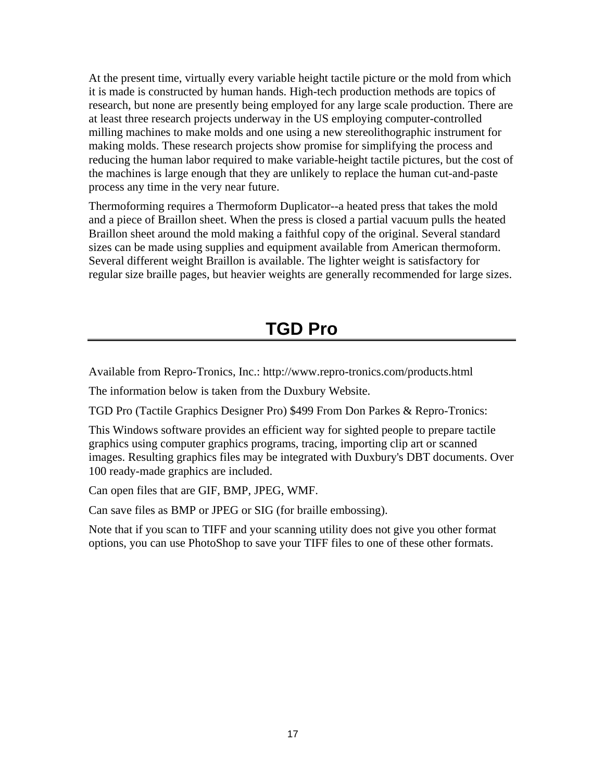<span id="page-16-0"></span>At the present time, virtually every variable height tactile picture or the mold from which it is made is constructed by human hands. High-tech production methods are topics of research, but none are presently being employed for any large scale production. There are at least three research projects underway in the US employing computer-controlled milling machines to make molds and one using a new stereolithographic instrument for making molds. These research projects show promise for simplifying the process and reducing the human labor required to make variable-height tactile pictures, but the cost of the machines is large enough that they are unlikely to replace the human cut-and-paste process any time in the very near future.

Thermoforming requires a Thermoform Duplicator--a heated press that takes the mold and a piece of Braillon sheet. When the press is closed a partial vacuum pulls the heated Braillon sheet around the mold making a faithful copy of the original. Several standard sizes can be made using supplies and equipment available from American thermoform. Several different weight Braillon is available. The lighter weight is satisfactory for regular size braille pages, but heavier weights are generally recommended for large sizes.

## **TGD Pro**

Available from Repro-Tronics, Inc.: http://www.repro-tronics.com/products.html

The information below is taken from the Duxbury Website.

TGD Pro (Tactile Graphics Designer Pro) \$499 From Don Parkes & Repro-Tronics:

This Windows software provides an efficient way for sighted people to prepare tactile graphics using computer graphics programs, tracing, importing clip art or scanned images. Resulting graphics files may be integrated with Duxbury's DBT documents. Over 100 ready-made graphics are included.

Can open files that are GIF, BMP, JPEG, WMF.

Can save files as BMP or JPEG or SIG (for braille embossing).

Note that if you scan to TIFF and your scanning utility does not give you other format options, you can use PhotoShop to save your TIFF files to one of these other formats.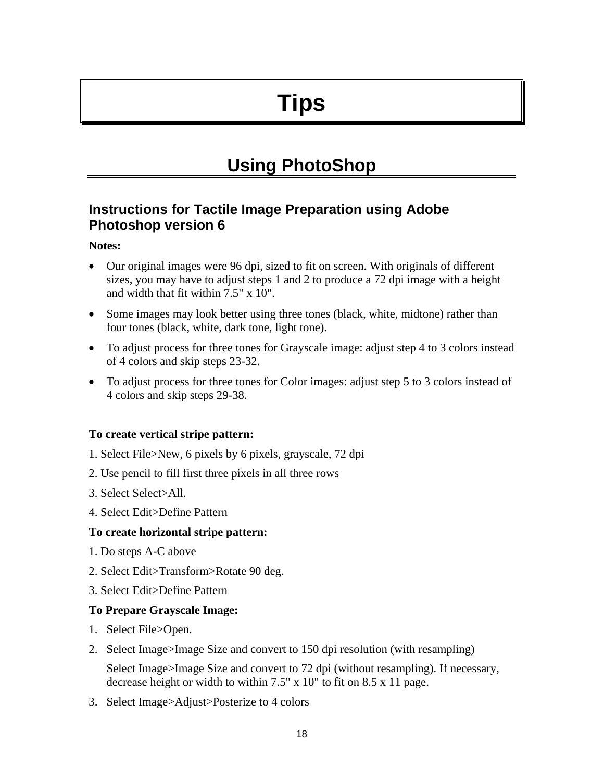# **Tips**

## **Using PhotoShop**

### <span id="page-17-0"></span>**Instructions for Tactile Image Preparation using Adobe Photoshop version 6**

#### **Notes:**

- Our original images were 96 dpi, sized to fit on screen. With originals of different sizes, you may have to adjust steps 1 and 2 to produce a 72 dpi image with a height and width that fit within 7.5" x 10".
- Some images may look better using three tones (black, white, midtone) rather than four tones (black, white, dark tone, light tone).
- To adjust process for three tones for Grayscale image: adjust step 4 to 3 colors instead of 4 colors and skip steps 23-32.
- To adjust process for three tones for Color images: adjust step 5 to 3 colors instead of 4 colors and skip steps 29-38.

#### **To create vertical stripe pattern:**

- 1. Select File>New, 6 pixels by 6 pixels, grayscale, 72 dpi
- 2. Use pencil to fill first three pixels in all three rows
- 3. Select Select>All.
- 4. Select Edit>Define Pattern

#### **To create horizontal stripe pattern:**

- 1. Do steps A-C above
- 2. Select Edit>Transform>Rotate 90 deg.
- 3. Select Edit>Define Pattern

#### **To Prepare Grayscale Image:**

- 1. Select File>Open.
- 2. Select Image>Image Size and convert to 150 dpi resolution (with resampling)

Select Image>Image Size and convert to 72 dpi (without resampling). If necessary, decrease height or width to within 7.5" x 10" to fit on 8.5 x 11 page.

3. Select Image>Adjust>Posterize to 4 colors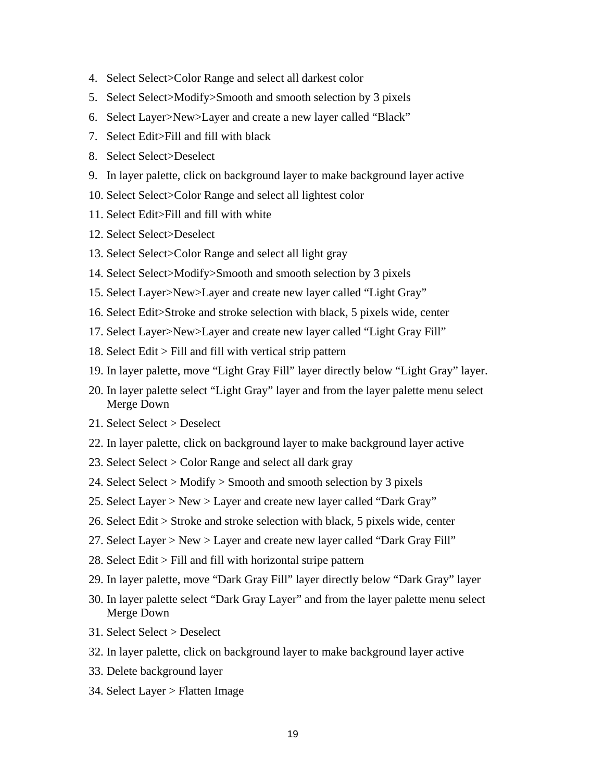- 4. Select Select>Color Range and select all darkest color
- 5. Select Select>Modify>Smooth and smooth selection by 3 pixels
- 6. Select Layer>New>Layer and create a new layer called "Black"
- 7. Select Edit>Fill and fill with black
- 8. Select Select>Deselect
- 9. In layer palette, click on background layer to make background layer active
- 10. Select Select>Color Range and select all lightest color
- 11. Select Edit>Fill and fill with white
- 12. Select Select>Deselect
- 13. Select Select>Color Range and select all light gray
- 14. Select Select>Modify>Smooth and smooth selection by 3 pixels
- 15. Select Layer>New>Layer and create new layer called "Light Gray"
- 16. Select Edit>Stroke and stroke selection with black, 5 pixels wide, center
- 17. Select Layer>New>Layer and create new layer called "Light Gray Fill"
- 18. Select Edit > Fill and fill with vertical strip pattern
- 19. In layer palette, move "Light Gray Fill" layer directly below "Light Gray" layer.
- 20. In layer palette select "Light Gray" layer and from the layer palette menu select Merge Down
- 21. Select Select > Deselect
- 22. In layer palette, click on background layer to make background layer active
- 23. Select Select > Color Range and select all dark gray
- 24. Select Select > Modify > Smooth and smooth selection by 3 pixels
- 25. Select Layer > New > Layer and create new layer called "Dark Gray"
- 26. Select Edit > Stroke and stroke selection with black, 5 pixels wide, center
- 27. Select Layer > New > Layer and create new layer called "Dark Gray Fill"
- 28. Select Edit > Fill and fill with horizontal stripe pattern
- 29. In layer palette, move "Dark Gray Fill" layer directly below "Dark Gray" layer
- 30. In layer palette select "Dark Gray Layer" and from the layer palette menu select Merge Down
- 31. Select Select > Deselect
- 32. In layer palette, click on background layer to make background layer active
- 33. Delete background layer
- 34. Select Layer > Flatten Image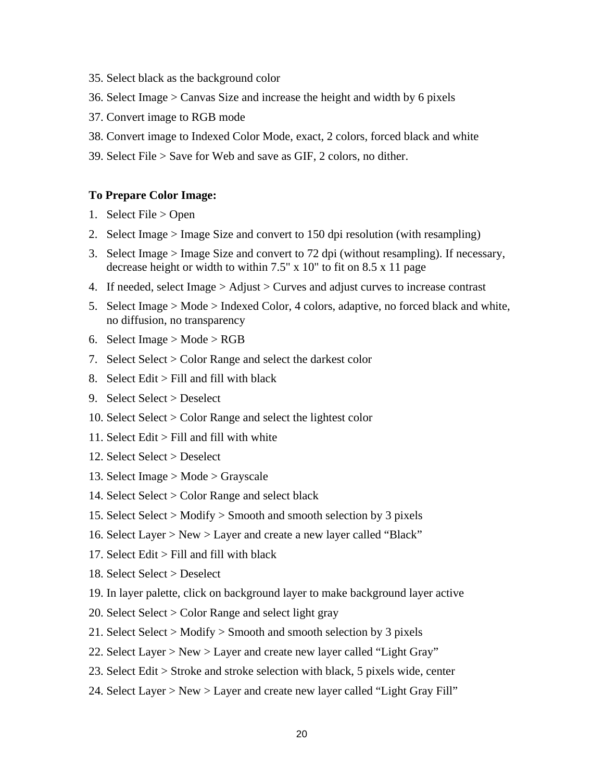- 35. Select black as the background color
- 36. Select Image > Canvas Size and increase the height and width by 6 pixels
- 37. Convert image to RGB mode
- 38. Convert image to Indexed Color Mode, exact, 2 colors, forced black and white
- 39. Select File > Save for Web and save as GIF, 2 colors, no dither.

#### **To Prepare Color Image:**

- 1. Select File > Open
- 2. Select Image > Image Size and convert to 150 dpi resolution (with resampling)
- 3. Select Image > Image Size and convert to 72 dpi (without resampling). If necessary, decrease height or width to within 7.5" x 10" to fit on 8.5 x 11 page
- 4. If needed, select Image > Adjust > Curves and adjust curves to increase contrast
- 5. Select Image > Mode > Indexed Color, 4 colors, adaptive, no forced black and white, no diffusion, no transparency
- 6. Select Image  $>$  Mode  $>$  RGB
- 7. Select Select > Color Range and select the darkest color
- 8. Select Edit  $>$  Fill and fill with black
- 9. Select Select > Deselect
- 10. Select Select > Color Range and select the lightest color
- 11. Select Edit > Fill and fill with white
- 12. Select Select > Deselect
- 13. Select Image > Mode > Grayscale
- 14. Select Select > Color Range and select black
- 15. Select Select > Modify > Smooth and smooth selection by 3 pixels
- 16. Select Layer > New > Layer and create a new layer called "Black"
- 17. Select Edit > Fill and fill with black
- 18. Select Select > Deselect
- 19. In layer palette, click on background layer to make background layer active
- 20. Select Select > Color Range and select light gray
- 21. Select Select > Modify > Smooth and smooth selection by 3 pixels
- 22. Select Layer > New > Layer and create new layer called "Light Gray"
- 23. Select Edit > Stroke and stroke selection with black, 5 pixels wide, center
- 24. Select Layer > New > Layer and create new layer called "Light Gray Fill"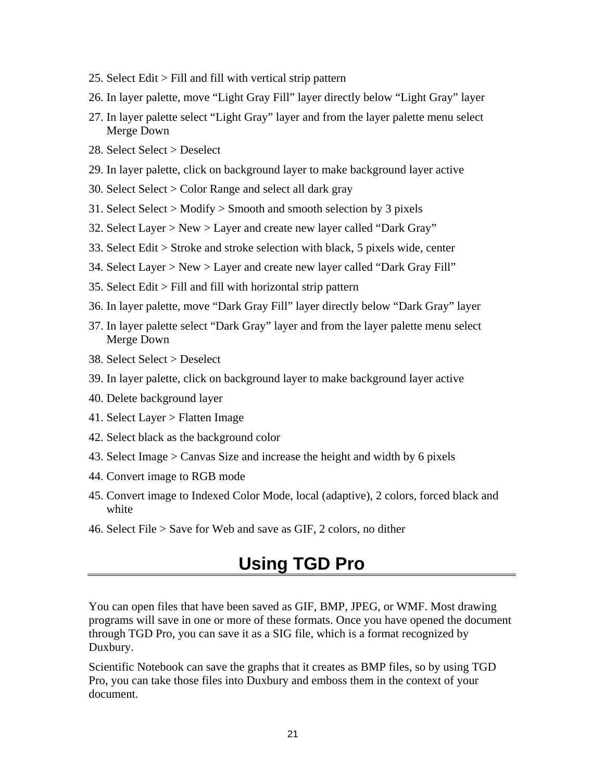- <span id="page-20-0"></span>25. Select Edit > Fill and fill with vertical strip pattern
- 26. In layer palette, move "Light Gray Fill" layer directly below "Light Gray" layer
- 27. In layer palette select "Light Gray" layer and from the layer palette menu select Merge Down
- 28. Select Select > Deselect
- 29. In layer palette, click on background layer to make background layer active
- 30. Select Select > Color Range and select all dark gray
- 31. Select Select > Modify > Smooth and smooth selection by 3 pixels
- 32. Select Layer > New > Layer and create new layer called "Dark Gray"
- 33. Select Edit > Stroke and stroke selection with black, 5 pixels wide, center
- 34. Select Layer > New > Layer and create new layer called "Dark Gray Fill"
- 35. Select Edit > Fill and fill with horizontal strip pattern
- 36. In layer palette, move "Dark Gray Fill" layer directly below "Dark Gray" layer
- 37. In layer palette select "Dark Gray" layer and from the layer palette menu select Merge Down
- 38. Select Select > Deselect
- 39. In layer palette, click on background layer to make background layer active
- 40. Delete background layer
- 41. Select Layer > Flatten Image
- 42. Select black as the background color
- 43. Select Image > Canvas Size and increase the height and width by 6 pixels
- 44. Convert image to RGB mode
- 45. Convert image to Indexed Color Mode, local (adaptive), 2 colors, forced black and white
- 46. Select File > Save for Web and save as GIF, 2 colors, no dither

## **Using TGD Pro**

You can open files that have been saved as GIF, BMP, JPEG, or WMF. Most drawing programs will save in one or more of these formats. Once you have opened the document through TGD Pro, you can save it as a SIG file, which is a format recognized by Duxbury.

Scientific Notebook can save the graphs that it creates as BMP files, so by using TGD Pro, you can take those files into Duxbury and emboss them in the context of your document.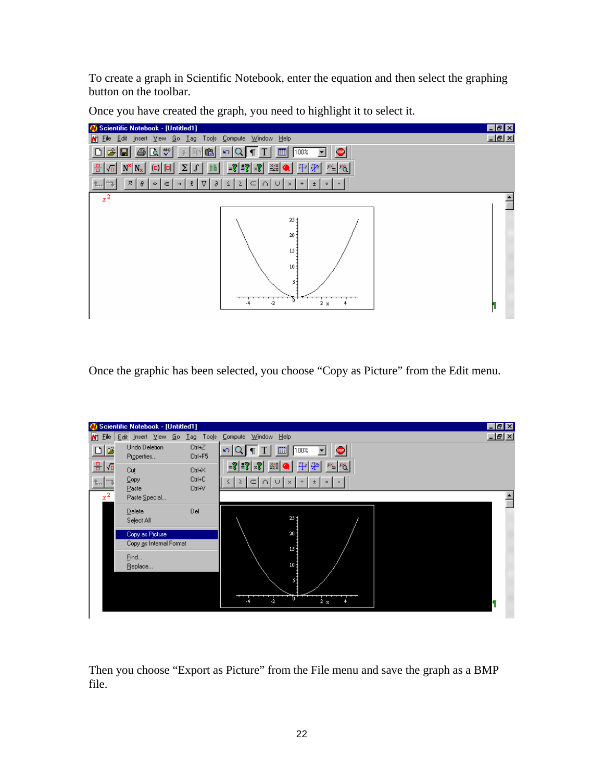To create a graph in Scientific Notebook, enter the equation and then select the graphing button on the toolbar.



Once you have created the graph, you need to highlight it to select it.

Once the graphic has been selected, you choose "Copy as Picture" from the Edit menu.

|                                    | N Scientific Notebook - [Untitled1]        |                            |                                                                                                                                                                                      | $\blacksquare$ $\blacksquare$ $\times$ |
|------------------------------------|--------------------------------------------|----------------------------|--------------------------------------------------------------------------------------------------------------------------------------------------------------------------------------|----------------------------------------|
| $N$ Eile                           | Edit Insert View Go Tag Tools              |                            | Compute Window Help                                                                                                                                                                  | <u>니리지</u>                             |
| D E                                | Undo Deletion<br>Properties                | Ctrl+Z<br>Ctrl+F5          | 圍<br>100%<br>$\mathbf{K}$<br>$\blacksquare$<br><b>P</b>                                                                                                                              |                                        |
| 8 년<br>$\mathfrak{m}$ and<br>$x^2$ | Cut<br>Copy<br>Paste<br>Paste Special      | Ctrl+X<br>Ctrl+C<br>Ctrl+V | $+ + $<br>$\left  \mathscr{F}_x \right  \mathscr{F} =$<br>$\frac{X+X}{=2X}$<br>电阻<br>$\bullet$<br>$ C  \cap  C $<br>$\leq$<br>$\geq$<br>$\pm$ 1<br>$\times$<br>$\pm$<br>$\circ$<br>٠ | $\overline{\phantom{0}}$               |
|                                    | Delete<br>Select All                       | Del                        | $25 -$                                                                                                                                                                               |                                        |
|                                    | Copy as Picture<br>Copy as Internal Format |                            | $20 -$<br>15 <sup>2</sup>                                                                                                                                                            |                                        |
|                                    | Eind<br>Replace                            |                            | 10:                                                                                                                                                                                  |                                        |
|                                    |                                            |                            | 55<br>ō<br>$-2$<br>2x                                                                                                                                                                | 1                                      |

Then you choose "Export as Picture" from the File menu and save the graph as a BMP file.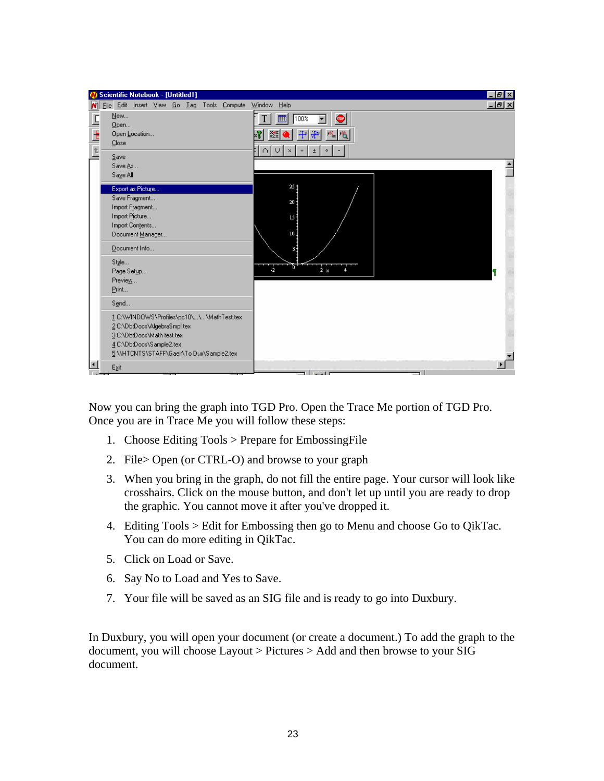

Now you can bring the graph into TGD Pro. Open the Trace Me portion of TGD Pro. Once you are in Trace Me you will follow these steps:

- 1. Choose Editing Tools > Prepare for EmbossingFile
- 2. File> Open (or CTRL-O) and browse to your graph
- 3. When you bring in the graph, do not fill the entire page. Your cursor will look like crosshairs. Click on the mouse button, and don't let up until you are ready to drop the graphic. You cannot move it after you've dropped it.
- 4. Editing  $Tools >$  Edit for Embossing then go to Menu and choose Go to QikTac. You can do more editing in QikTac.
- 5. Click on Load or Save.
- 6. Say No to Load and Yes to Save.
- 7. Your file will be saved as an SIG file and is ready to go into Duxbury.

In Duxbury, you will open your document (or create a document.) To add the graph to the  $document, you will choose Layout > Pictures > Add and then browse to your SIG$ document.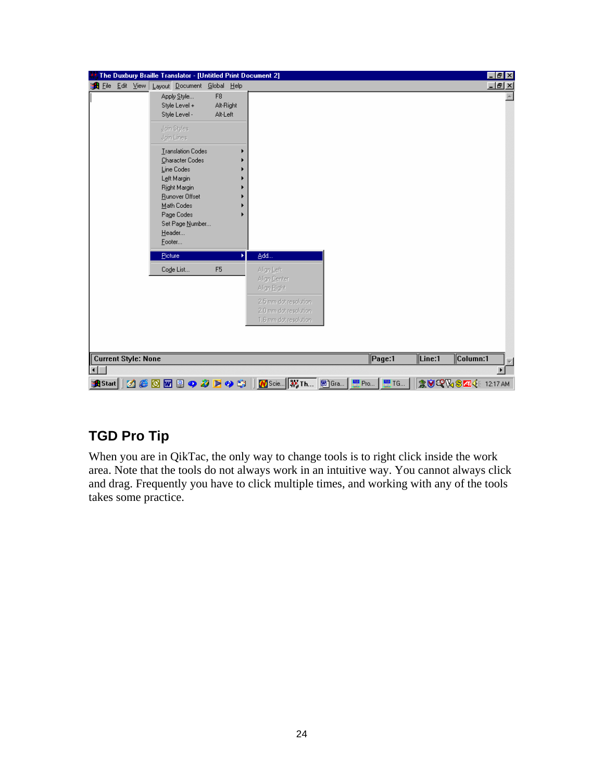| The Duxbury Braille Translator - [Untitled Print Document 2]                                                                                                                  |                                                                                                                      |                          | $ F$ $x$                               |
|-------------------------------------------------------------------------------------------------------------------------------------------------------------------------------|----------------------------------------------------------------------------------------------------------------------|--------------------------|----------------------------------------|
| Edit View Layout Document Global Help<br>e <sup>n</sup> File                                                                                                                  |                                                                                                                      |                          | 그리지                                    |
| F <sub>8</sub><br>Apply Style<br>Style Level +<br>Alt-Right<br>Alt-Left<br>Style Level -                                                                                      |                                                                                                                      |                          |                                        |
| Join Styles<br>Join Lines                                                                                                                                                     |                                                                                                                      |                          |                                        |
| <b>Translation Codes</b><br>Character Codes<br>Line Codes<br>Left Margin<br>Right Margin<br>Runover Offset<br>Math Codes<br>Page Codes<br>Set Page Number<br>Header<br>Footer |                                                                                                                      |                          |                                        |
| Picture<br>Ы                                                                                                                                                                  | Add                                                                                                                  |                          |                                        |
| Code List<br>F <sub>5</sub>                                                                                                                                                   | Align Left<br>Align Center<br>Align Bight<br>2.5 mm dot resolution<br>2.0 mm dot resolution<br>1.6 mm dot resolution |                          |                                        |
| <b>Current Style: None</b>                                                                                                                                                    |                                                                                                                      | $\sqrt{\mathsf{Page}:1}$ | $\sqrt{\text{Line}:1}$<br>$ $ Column:1 |
|                                                                                                                                                                               |                                                                                                                      |                          |                                        |
| $C$ or $R$<br>◆多下◆塩│<br><b>R</b> Start    3                                                                                                                                   |                                                                                                                      |                          | <b>意图吗?%S 414</b> 12:17 AM             |

## **TGD Pro Tip**

When you are in QikTac, the only way to change tools is to right click inside the work area. Note that the tools do not always work in an intuitive way. You cannot always click and drag. Frequently you have to click multiple times, and working with any of the tools takes some practice.